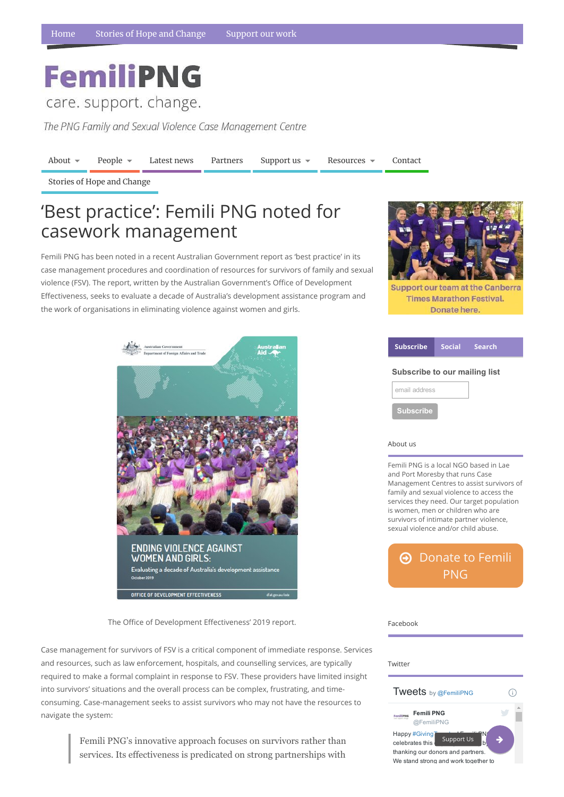# **FemiliPNG**

care. support. change.

The PNG Family and Sexual Violence Case Management Centre

[About](https://www.femilipng.org/introducing-the-png-family-and-sexual-violence-case-management-centre/)  $\bullet$  [People](https://www.femilipng.org/people/)  $\bullet$  [Latest](https://www.femilipng.org/category/news/) news [Partners](https://www.femilipng.org/partners-and-supporters/) [Support](https://www.femilipng.org/donate/) us  $\bullet$  [Resources](https://www.femilipng.org/resources-on-fsv-in-png/)  $\bullet$  [Contact](https://www.femilipng.org/contact/)

#### About us

Femili PNG is a local NGO based in Lae and Port Moresby that runs Case Management Centres to assist survivors of family and sexual violence to access the services they need. Our target population is women, men or children who are survivors of intimate partner violence, sexual violence and/or child abuse.

 $\Theta$  [Donate](https://www.femilipng.org/donate/) to Femili PNG

OFFICE OF DEVELOPMENT EFFECTIVENESS

#### The Office of Development Effectiveness' 2019 report.

Twitter Tweets by @FemiliPNG  $\bigcirc$ Femili PNG FemiliPNG @FemiliPNG Happy #Giving Support Us celebrates this thanking our donors and partners. We stand strong and work together to

Facebook

Stories of Hope and [Change](https://www.femilipng.org/category/stories-of-hope-and-change/)

Femili PNG has been noted in a recent Australian Government report as 'best practice' in its case management procedures and coordination of resources for survivors of family and sexual violence (FSV). The report, written by the Australian Government's Office of Development E쀀ectiveness, seeks to evaluate a decade of Australia's development assistance program and the work of organisations in eliminating violence against women and girls.



**Support our team at the Canberra Times Marathon Festival.** Donate here.



| <b>Subscribe</b>                     |  | Social Search |
|--------------------------------------|--|---------------|
| <b>Subscribe to our mailing list</b> |  |               |
| email address                        |  |               |
| <b>Subscribe</b>                     |  |               |

Case management for survivors of FSV is a critical component of immediate response. Services and resources, such as law enforcement, hospitals, and counselling services, are typically required to make a formal complaint in response to FSV. These providers have limited insight into survivors' situations and the overall process can be complex, frustrating, and timeconsuming. Case-management seeks to assist survivors who may not have the resources to navigate the system:

> Femili PNG's innovative approach focuses on survivors rather than services. Its effectiveness is predicated on strong partnerships with

## 'Best practice': Femili PNG noted for casework management